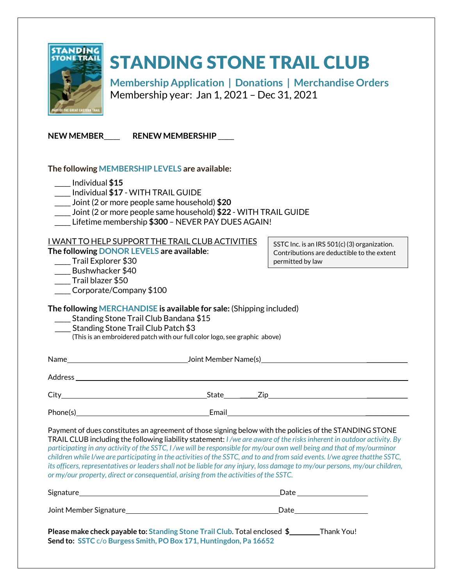

## STANDING STONE TRAIL CLUB

**Membership Application | Donations | Merchandise Orders** Membership year: Jan 1, 2021 – Dec 31, 2021

**NEWMEMBER**\_\_\_\_\_ **RENEWMEMBERSHIP** \_\_\_\_\_

#### **The following MEMBERSHIP LEVELS are available:**

- \_\_\_\_\_ Individual **\$15**
- \_\_\_\_\_ Individual **\$17** WITH TRAIL GUIDE
- \_\_\_\_\_ Joint (2 or more people same household) **\$20**
- \_\_\_\_\_ Joint (2 or more people same household) **\$22** WITH TRAIL GUIDE
- \_\_\_\_\_ Lifetime membership **\$300** NEVER PAY DUES AGAIN!

| I WANT TO HELP SUPPORT THE TRAIL CLUB ACTIVITIES<br>The following DONOR LEVELS are available:<br>Trail Explorer \$30<br>Bushwhacker \$40<br>Trail blazer \$50<br>Corporate/Company \$100                                                                                                                                                                                                                                                                                                                                                                                                                                                                                                                           | SSTC Inc. is an IRS 501(c) (3) organization.<br>Contributions are deductible to the extent<br>permitted by law |
|--------------------------------------------------------------------------------------------------------------------------------------------------------------------------------------------------------------------------------------------------------------------------------------------------------------------------------------------------------------------------------------------------------------------------------------------------------------------------------------------------------------------------------------------------------------------------------------------------------------------------------------------------------------------------------------------------------------------|----------------------------------------------------------------------------------------------------------------|
| The following MERCHANDISE is available for sale: (Shipping included)<br>___ Standing Stone Trail Club Bandana \$15<br><b>Standing Stone Trail Club Patch \$3</b><br>(This is an embroidered patch with our full color logo, see graphic above)                                                                                                                                                                                                                                                                                                                                                                                                                                                                     |                                                                                                                |
|                                                                                                                                                                                                                                                                                                                                                                                                                                                                                                                                                                                                                                                                                                                    |                                                                                                                |
|                                                                                                                                                                                                                                                                                                                                                                                                                                                                                                                                                                                                                                                                                                                    |                                                                                                                |
|                                                                                                                                                                                                                                                                                                                                                                                                                                                                                                                                                                                                                                                                                                                    |                                                                                                                |
| Phone(s) Phone(s) Phone (s) Phone (s) Phone (s) Phone (s) Phone (s) Phone (s) Phone (s) Phone (s) Phone (s) Phone (s) Phone (s) Phone (s) Phone (s) Phone (s) Phone (s) Phone (s) Phone (s) Phone (s) Phone (s) Phone (s) Phon                                                                                                                                                                                                                                                                                                                                                                                                                                                                                     |                                                                                                                |
| Payment of dues constitutes an agreement of those signing below with the policies of the STANDING STONE<br>TRAIL CLUB including the following liability statement: I /we are aware of the risks inherent in outdoor activity. By<br>participating in any activity of the SSTC, I /we will be responsible for my/our own well being and that of my/ourminor<br>children while I/we are participating in the activities of the SSTC, and to and from said events. I/we agree that the SSTC,<br>its officers, representatives or leaders shall not be liable for any injury, loss damage to my/our persons, my/our children,<br>or my/our property, direct or consequential, arising from the activities of the SSTC. |                                                                                                                |
|                                                                                                                                                                                                                                                                                                                                                                                                                                                                                                                                                                                                                                                                                                                    |                                                                                                                |
|                                                                                                                                                                                                                                                                                                                                                                                                                                                                                                                                                                                                                                                                                                                    |                                                                                                                |
| Please make check payable to: Standing Stone Trail Club. Total enclosed \$_______Thank You!<br>Send to: SSTC c/o Burgess Smith, PO Box 171, Huntingdon, Pa 16652                                                                                                                                                                                                                                                                                                                                                                                                                                                                                                                                                   |                                                                                                                |